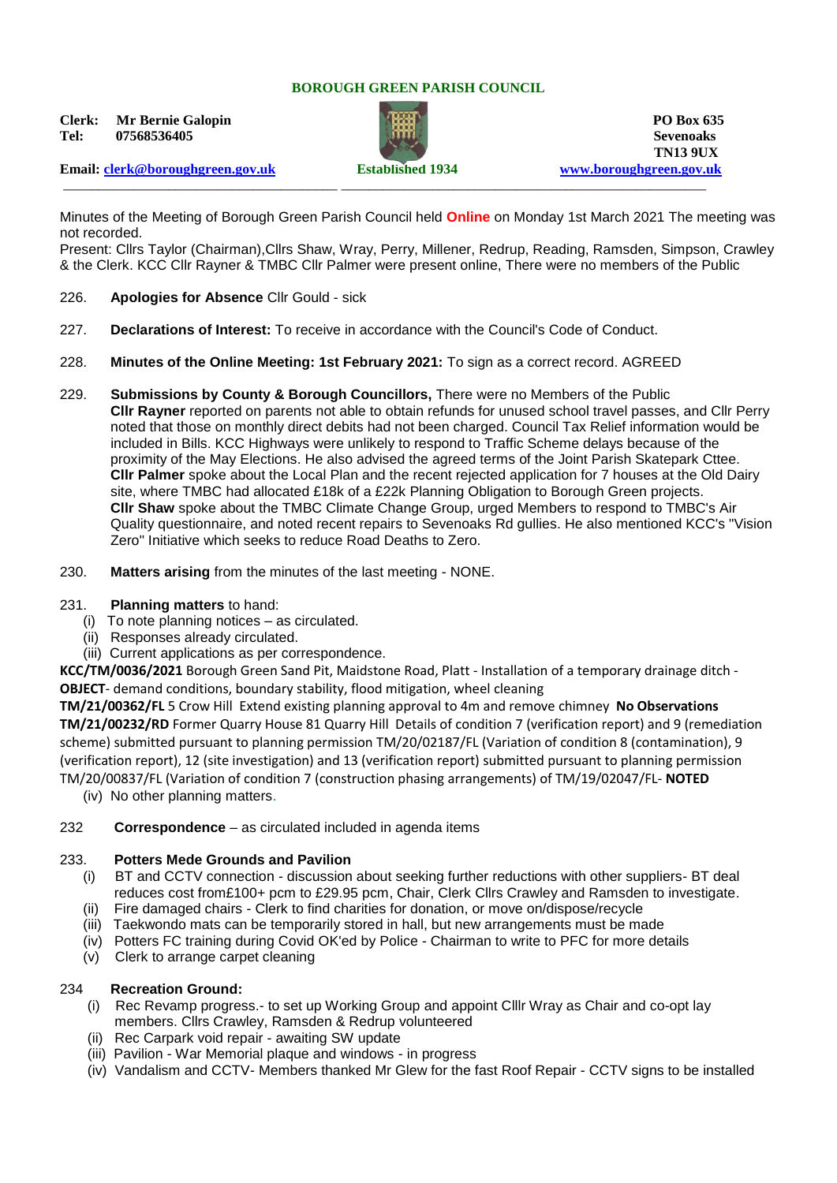## **BOROUGH GREEN PARISH COUNCIL**

**Clerk:** Mr Bernie Galopin **PO Box 635 Tel: 07568536405 Sevenoaks**



**TN13 9UX** 

**Email: [clerk@boroughgreen.gov.uk](mailto:clerk@boroughgreen.gov.uk) Established 1934 [www.boroughgreen.gov.uk](http://www.boroughgreen.gov.uk/)** \_\_\_\_\_\_\_\_\_\_\_\_\_\_\_\_\_\_\_\_\_\_\_\_\_\_\_\_\_\_\_\_\_\_\_\_\_\_\_ \_\_\_\_\_\_\_\_\_\_\_\_\_\_\_\_\_\_\_\_\_\_\_\_\_\_\_\_\_\_\_\_\_\_\_\_\_\_\_\_\_\_\_\_\_\_\_\_\_\_\_\_

Minutes of the Meeting of Borough Green Parish Council held **Online** on Monday 1st March 2021 The meeting was not recorded.

Present: Cllrs Taylor (Chairman),Cllrs Shaw, Wray, Perry, Millener, Redrup, Reading, Ramsden, Simpson, Crawley & the Clerk. KCC Cllr Rayner & TMBC Cllr Palmer were present online, There were no members of the Public

- 226. **Apologies for Absence** Cllr Gould sick
- 227. **Declarations of Interest:** To receive in accordance with the Council's Code of Conduct.
- 228. **Minutes of the Online Meeting: 1st February 2021:** To sign as a correct record. AGREED
- 229. **Submissions by County & Borough Councillors,** There were no Members of the Public **Cllr Rayner** reported on parents not able to obtain refunds for unused school travel passes, and Cllr Perry noted that those on monthly direct debits had not been charged. Council Tax Relief information would be included in Bills. KCC Highways were unlikely to respond to Traffic Scheme delays because of the proximity of the May Elections. He also advised the agreed terms of the Joint Parish Skatepark Cttee. **Cllr Palmer** spoke about the Local Plan and the recent rejected application for 7 houses at the Old Dairy site, where TMBC had allocated £18k of a £22k Planning Obligation to Borough Green projects. **Cllr Shaw** spoke about the TMBC Climate Change Group, urged Members to respond to TMBC's Air Quality questionnaire, and noted recent repairs to Sevenoaks Rd gullies. He also mentioned KCC's "Vision Zero" Initiative which seeks to reduce Road Deaths to Zero.
- 230. **Matters arising** from the minutes of the last meeting NONE.

## 231. **Planning matters** to hand:

- (i) To note planning notices as circulated.
- (ii) Responses already circulated.
- (iii) Current applications as per correspondence.

**KCC/TM/0036/2021** Borough Green Sand Pit, Maidstone Road, Platt - Installation of a temporary drainage ditch - **OBJECT**- demand conditions, boundary stability, flood mitigation, wheel cleaning

**TM/21/00362/FL** 5 Crow Hill Extend existing planning approval to 4m and remove chimney **No Observations TM/21/00232/RD** Former Quarry House 81 Quarry Hill Details of condition 7 (verification report) and 9 (remediation scheme) submitted pursuant to planning permission TM/20/02187/FL (Variation of condition 8 (contamination), 9 (verification report), 12 (site investigation) and 13 (verification report) submitted pursuant to planning permission TM/20/00837/FL (Variation of condition 7 (construction phasing arrangements) of TM/19/02047/FL- **NOTED**

(iv) No other planning matters.

## 232 **Correspondence** – as circulated included in agenda items

## 233. **Potters Mede Grounds and Pavilion**

- (i) BT and CCTV connection discussion about seeking further reductions with other suppliers- BT deal reduces cost from£100+ pcm to £29.95 pcm, Chair, Clerk Cllrs Crawley and Ramsden to investigate.
- (ii) Fire damaged chairs Clerk to find charities for donation, or move on/dispose/recycle
- (iii) Taekwondo mats can be temporarily stored in hall, but new arrangements must be made
- (iv) Potters FC training during Covid OK'ed by Police Chairman to write to PFC for more details
- (v) Clerk to arrange carpet cleaning

# 234 **Recreation Ground:**

- (i) Rec Revamp progress.- to set up Working Group and appoint Clllr Wray as Chair and co-opt lay members. Cllrs Crawley, Ramsden & Redrup volunteered
- (ii) Rec Carpark void repair awaiting SW update
- (iii) Pavilion War Memorial plaque and windows in progress
- (iv) Vandalism and CCTV- Members thanked Mr Glew for the fast Roof Repair CCTV signs to be installed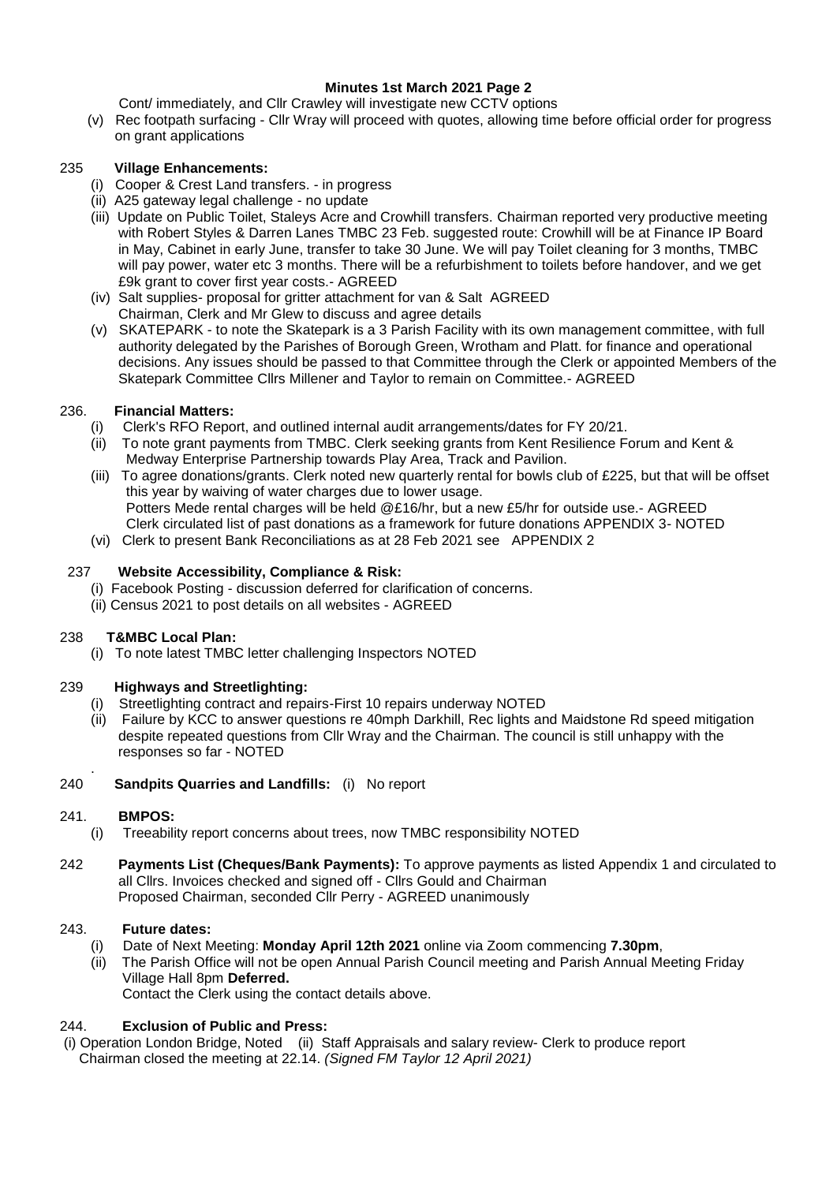# **Minutes 1st March 2021 Page 2**

Cont/ immediately, and Cllr Crawley will investigate new CCTV options

 (v) Rec footpath surfacing - Cllr Wray will proceed with quotes, allowing time before official order for progress on grant applications

# 235 **Village Enhancements:**

- (i) Cooper & Crest Land transfers. in progress
- (ii) A25 gateway legal challenge no update
- (iii) Update on Public Toilet, Staleys Acre and Crowhill transfers. Chairman reported very productive meeting with Robert Styles & Darren Lanes TMBC 23 Feb. suggested route: Crowhill will be at Finance IP Board in May, Cabinet in early June, transfer to take 30 June. We will pay Toilet cleaning for 3 months, TMBC will pay power, water etc 3 months. There will be a refurbishment to toilets before handover, and we get £9k grant to cover first year costs.- AGREED
- (iv) Salt supplies- proposal for gritter attachment for van & Salt AGREED Chairman, Clerk and Mr Glew to discuss and agree details
- (v) SKATEPARK to note the Skatepark is a 3 Parish Facility with its own management committee, with full authority delegated by the Parishes of Borough Green, Wrotham and Platt. for finance and operational decisions. Any issues should be passed to that Committee through the Clerk or appointed Members of the Skatepark Committee Cllrs Millener and Taylor to remain on Committee.- AGREED

# 236. **Financial Matters:**

- (i) Clerk's RFO Report, and outlined internal audit arrangements/dates for FY 20/21.
- (ii) To note grant payments from TMBC. Clerk seeking grants from Kent Resilience Forum and Kent & Medway Enterprise Partnership towards Play Area, Track and Pavilion.
- (iii) To agree donations/grants. Clerk noted new quarterly rental for bowls club of £225, but that will be offset this year by waiving of water charges due to lower usage. Potters Mede rental charges will be held @£16/hr, but a new £5/hr for outside use.- AGREED Clerk circulated list of past donations as a framework for future donations APPENDIX 3- NOTED
- (vi) Clerk to present Bank Reconciliations as at 28 Feb 2021 see APPENDIX 2

## 237 **Website Accessibility, Compliance & Risk:**

- (i) Facebook Posting discussion deferred for clarification of concerns.
- (ii) Census 2021 to post details on all websites AGREED

# 238 **T&MBC Local Plan:**

(i) To note latest TMBC letter challenging Inspectors NOTED

# 239 **Highways and Streetlighting:**

- (i) Streetlighting contract and repairs-First 10 repairs underway NOTED
- (ii) Failure by KCC to answer questions re 40mph Darkhill, Rec lights and Maidstone Rd speed mitigation despite repeated questions from Cllr Wray and the Chairman. The council is still unhappy with the responses so far - NOTED
- 240 **Sandpits Quarries and Landfills:** (i) No report

## 241. **BMPOS:**

.

- (i) Treeability report concerns about trees, now TMBC responsibility NOTED
- 242 **Payments List (Cheques/Bank Payments):** To approve payments as listed Appendix 1 and circulated to all Cllrs. Invoices checked and signed off - Cllrs Gould and Chairman Proposed Chairman, seconded Cllr Perry - AGREED unanimously

## 243. **Future dates:**

- (i) Date of Next Meeting: **Monday April 12th 2021** online via Zoom commencing **7.30pm**,
- (ii) The Parish Office will not be open Annual Parish Council meeting and Parish Annual Meeting Friday Village Hall 8pm **Deferred.**

Contact the Clerk using the contact details above.

# 244. **Exclusion of Public and Press:**

(i) Operation London Bridge, Noted (ii) Staff Appraisals and salary review- Clerk to produce report Chairman closed the meeting at 22.14. *(Signed FM Taylor 12 April 2021)*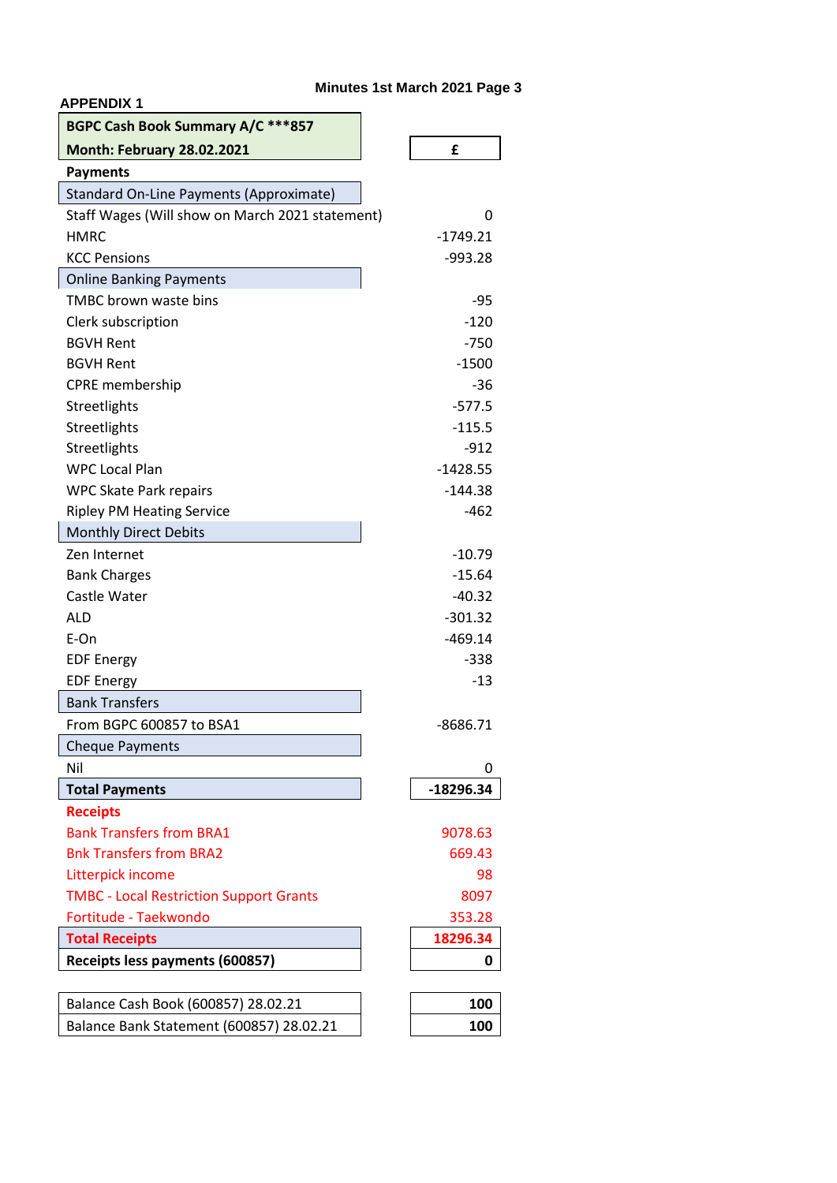# **Minutes 1st March 2021 Page 3**

| BGPC Cash Book Summary A/C ***857               |             |
|-------------------------------------------------|-------------|
| <b>Month: February 28.02.2021</b>               | £           |
| <b>Payments</b>                                 |             |
| Standard On-Line Payments (Approximate)         |             |
| Staff Wages (Will show on March 2021 statement) | 0           |
| <b>HMRC</b>                                     | $-1749.21$  |
| <b>KCC Pensions</b>                             | $-993.28$   |
| <b>Online Banking Payments</b>                  |             |
| <b>TMBC brown waste bins</b>                    | -95         |
| Clerk subscription                              | $-120$      |
| <b>BGVH Rent</b>                                | $-750$      |
| <b>BGVH Rent</b>                                | $-1500$     |
| <b>CPRE</b> membership                          | -36         |
| Streetlights                                    | $-577.5$    |
| Streetlights                                    | $-115.5$    |
| Streetlights                                    | $-912$      |
| <b>WPC Local Plan</b>                           | $-1428.55$  |
| <b>WPC Skate Park repairs</b>                   | $-144.38$   |
| <b>Ripley PM Heating Service</b>                | $-462$      |
| <b>Monthly Direct Debits</b>                    |             |
| Zen Internet                                    | $-10.79$    |
| <b>Bank Charges</b>                             | $-15.64$    |
| Castle Water                                    | $-40.32$    |
| ALD                                             | $-301.32$   |
| E-On                                            | $-469.14$   |
| <b>EDF Energy</b>                               | $-338$      |
| <b>EDF Energy</b>                               | $-13$       |
| <b>Bank Transfers</b>                           |             |
| From BGPC 600857 to BSA1                        | $-8686.71$  |
| <b>Cheque Payments</b>                          |             |
| Nil                                             | O           |
| <b>Total Payments</b>                           | $-18296.34$ |
| <b>Receipts</b>                                 |             |
| <b>Bank Transfers from BRA1</b>                 | 9078.63     |
| <b>Bnk Transfers from BRA2</b>                  | 669.43      |
| Litterpick income                               | 98          |
| <b>TMBC - Local Restriction Support Grants</b>  | 8097        |
| Fortitude - Taekwondo                           | 353.28      |
| <b>Total Receipts</b>                           | 18296.34    |
| Receipts less payments (600857)                 | 0           |
|                                                 |             |
| Balance Cash Book (600857) 28.02.21             | 100         |
| Balance Bank Statement (600857) 28.02.21        | 100         |

**APPENDIX 1**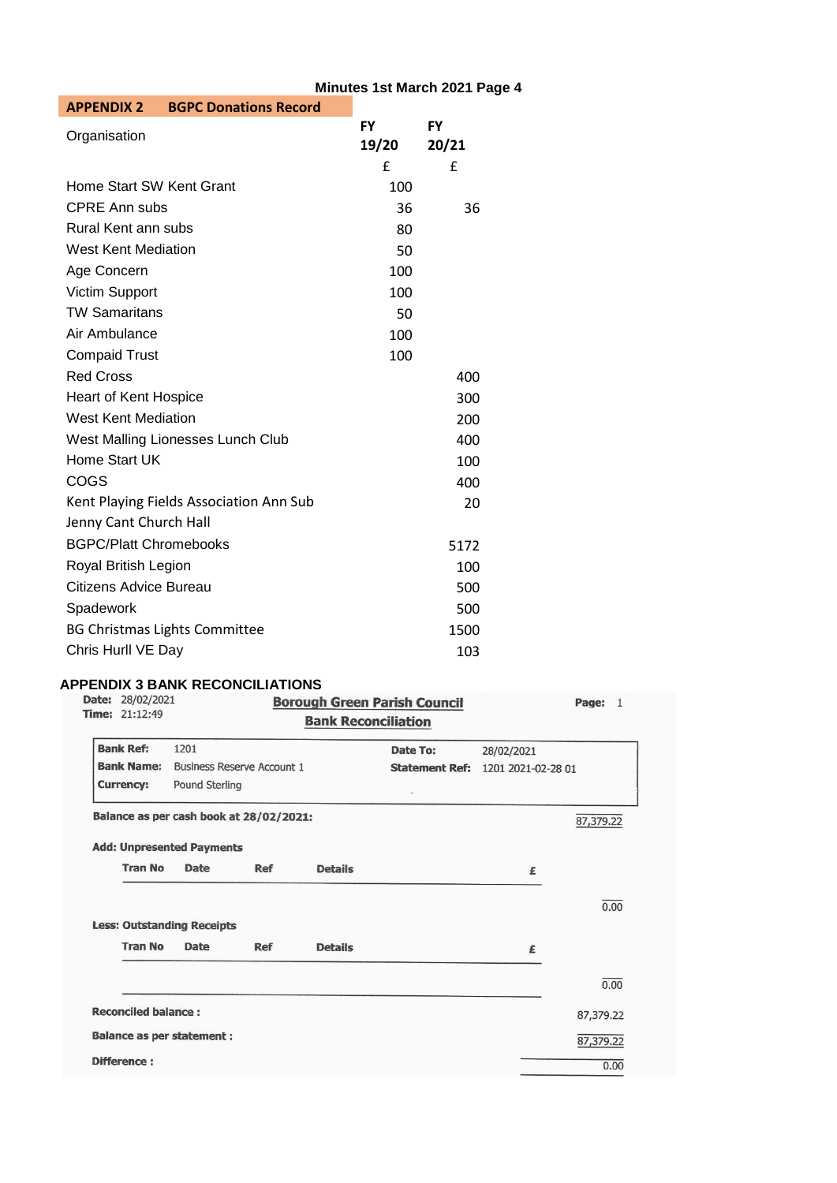| <b>BGPC Donations Record</b><br><b>APPENDIX 2</b> |           |           |  |
|---------------------------------------------------|-----------|-----------|--|
| Organisation                                      | <b>FY</b> | <b>FY</b> |  |
|                                                   | 19/20     | 20/21     |  |
|                                                   | £         | £         |  |
| Home Start SW Kent Grant                          | 100       |           |  |
| <b>CPRE Ann subs</b>                              | 36        | 36        |  |
| Rural Kent ann subs                               | 80        |           |  |
| <b>West Kent Mediation</b>                        | 50        |           |  |
| Age Concern                                       | 100       |           |  |
| <b>Victim Support</b>                             | 100       |           |  |
| <b>TW Samaritans</b>                              | 50        |           |  |
| Air Ambulance                                     | 100       |           |  |
| <b>Compaid Trust</b>                              | 100       |           |  |
| <b>Red Cross</b>                                  |           | 400       |  |
| <b>Heart of Kent Hospice</b>                      |           | 300       |  |
| <b>West Kent Mediation</b>                        |           | 200       |  |
| West Malling Lionesses Lunch Club                 |           | 400       |  |
| Home Start UK                                     |           | 100       |  |
| COGS                                              |           | 400       |  |
| Kent Playing Fields Association Ann Sub           |           | 20        |  |
| Jenny Cant Church Hall                            |           |           |  |
| <b>BGPC/Platt Chromebooks</b>                     |           | 5172      |  |
| Royal British Legion                              |           | 100       |  |
| Citizens Advice Bureau                            |           | 500       |  |
| Spadework                                         |           | 500       |  |
| <b>BG Christmas Lights Committee</b>              |           | 1500      |  |
| Chris Hurll VE Day                                |           | 103       |  |

# **APPENDIX 3 BANK RECONCILIATIONS**

| Date: 28/02/2021<br><b>Time: 21:12:49</b> |                |                                   | <b>Bank Reconciliation</b> | <b>Borough Green Parish Council</b> |                    | Page: 1   |
|-------------------------------------------|----------------|-----------------------------------|----------------------------|-------------------------------------|--------------------|-----------|
| <b>Bank Ref:</b>                          | 1201           |                                   |                            | Date To:                            | 28/02/2021         |           |
| <b>Bank Name:</b>                         |                | <b>Business Reserve Account 1</b> |                            | <b>Statement Ref:</b>               | 1201 2021-02-28 01 |           |
| <b>Currency:</b>                          | Pound Sterling |                                   |                            | $\omega$                            |                    |           |
| Balance as per cash book at 28/02/2021:   |                |                                   |                            |                                     |                    | 87,379.22 |
| <b>Add: Unpresented Payments</b>          |                |                                   |                            |                                     |                    |           |
| <b>Tran No</b>                            | Date           | Ref                               | <b>Details</b>             |                                     | £                  |           |
|                                           |                |                                   |                            |                                     |                    | 0.00      |
| <b>Less: Outstanding Receipts</b>         |                |                                   |                            |                                     |                    |           |
| <b>Tran No</b>                            | Date           | Ref                               | <b>Details</b>             |                                     | £                  |           |
|                                           |                |                                   |                            |                                     |                    | 0.00      |
| <b>Reconciled balance:</b>                |                |                                   |                            |                                     |                    | 87,379.22 |
| <b>Balance as per statement:</b>          |                |                                   |                            |                                     |                    | 87,379.22 |
| Difference:                               |                |                                   |                            |                                     |                    | 0.00      |

# **Minutes 1st March 2021 Page 4**